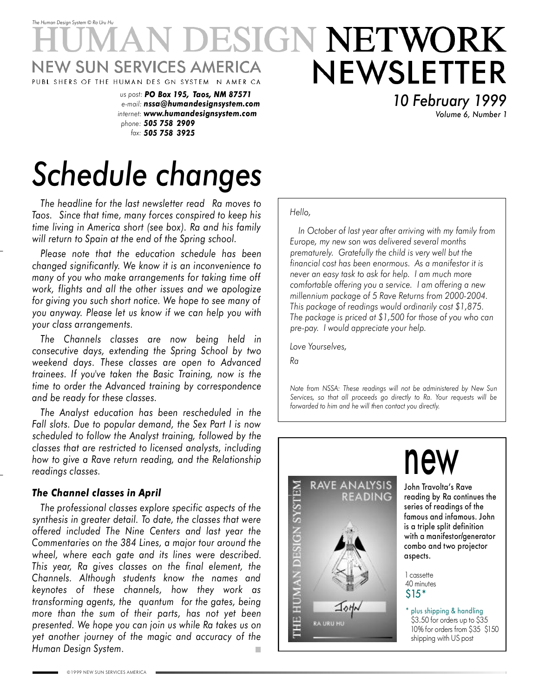### *The Human Design System* © *Ra Uru Hu* ESIGN NETWORK NEWSLETTER W SUN SERVICES AMERICA PUBL SHERS OF THE HUMAN DES GN SYSTEM N AMER CA

*us post: PO Box 195, Taos, NM 87571 e-mail: nssa@humandesignsystem.com internet: www.humandesignsystem.com phone: 505 758 2909 fax: 505 758 3925*

*10 February 1999 Volume 6, Number 1*

# *Schedule changes*

*The headline for the last newsletter read Ra moves to Taos. Since that time, many forces conspired to keep his time living in America short (see box). Ra and his family will return to Spain at the end of the Spring school.*

*Please note that the education schedule has been changed significantly. We know it is an inconvenience to many of you who make arrangements for taking time off work, flights and all the other issues and we apologize for giving you such short notice. We hope to see many of you anyway. Please let us know if we can help you with your class arrangements.*

*The Channels classes are now being held in consecutive days, extending the Spring School by two weekend days. These classes are open to Advanced trainees. If you've taken the Basic Training, now is the time to order the Advanced training by correspondence and be ready for these classes.*

*The Analyst education has been rescheduled in the Fall slots. Due to popular demand, the Sex Part I is now scheduled to follow the Analyst training, followed by the classes that are restricted to licensed analysts, including how to give a Rave return reading, and the Relationship readings classes.*

### *The Channel classes in April*

*The professional classes explore specific aspects of the synthesis in greater detail. To date, the classes that were offered included The Nine Centers and last year the Commentaries on the 384 Lines, a major tour around the wheel, where each gate and its lines were described. This year, Ra gives classes on the final element, the Channels. Although students know the names and keynotes of these channels, how they work as transforming agents, the quantum for the gates, being more than the sum of their parts, has not yet been presented. We hope you can join us while Ra takes us on yet another journey of the magic and accuracy of the Human Design System.*

#### *Hello,*

*In October of last year after arriving with my family from Europe, my new son was delivered several months prematurely. Gratefully the child is very well but the financial cost has been enormous. As a manifestor it is never an easy task to ask for help. I am much more comfortable offering you a service. I am offering a new millennium package of 5 Rave Returns from 2000-2004. This package of readings would ordinarily cost \$1,875. The package is priced at \$1,500 for those of you who can pre-pay. I would appreciate your help.*

*Love Yourselves,*

*Ra*

*Note from NSSA: These readings will not be administered by New Sun Services, so that all proceeds go directly to Ra. Your requests will be forwarded to him and he will then contact you directly.*



# new

John Travolta's Rave reading by Ra continues the series of readings of the famous and infamous. John is a triple split definition with a manifestor/generator combo and two projector aspects.

1 cassette 40 minutes \$15\*

\* plus shipping & handling \$3.50 for orders up to \$35 10% for orders from \$35 \$150 shipping with US post